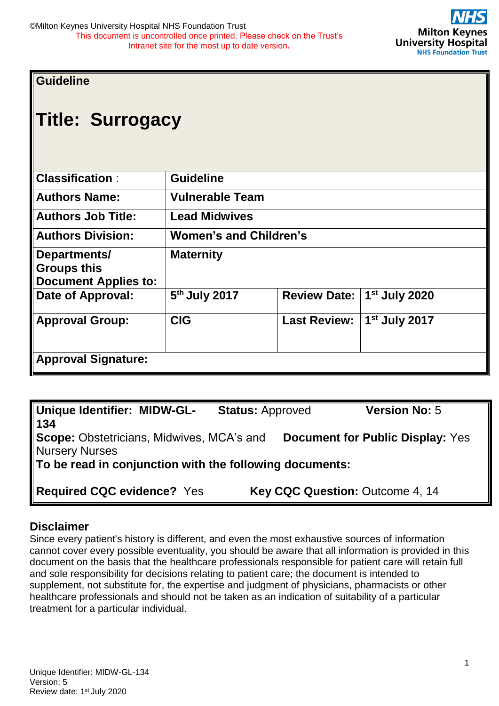## **Guideline**

# **Title: Surrogacy**

| <b>Classification:</b>                                            | <b>Guideline</b>              |                     |                           |  |  |  |
|-------------------------------------------------------------------|-------------------------------|---------------------|---------------------------|--|--|--|
| <b>Authors Name:</b>                                              | <b>Vulnerable Team</b>        |                     |                           |  |  |  |
| <b>Authors Job Title:</b>                                         | <b>Lead Midwives</b>          |                     |                           |  |  |  |
| <b>Authors Division:</b>                                          | <b>Women's and Children's</b> |                     |                           |  |  |  |
| Departments/<br><b>Groups this</b><br><b>Document Applies to:</b> | <b>Maternity</b>              |                     |                           |  |  |  |
| Date of Approval:                                                 | 5 <sup>th</sup> July 2017     | <b>Review Date:</b> | 1st July 2020             |  |  |  |
| <b>Approval Group:</b>                                            | <b>CIG</b>                    | <b>Last Review:</b> | 1 <sup>st</sup> July 2017 |  |  |  |
| <b>Approval Signature:</b>                                        |                               |                     |                           |  |  |  |

| <b>Unique Identifier: MIDW-GL-</b>                      | <b>Status: Approved</b> | <b>Version No: 5</b>                    |
|---------------------------------------------------------|-------------------------|-----------------------------------------|
| 134                                                     |                         |                                         |
| <b>Scope: Obstetricians, Midwives, MCA's and</b>        |                         | <b>Document for Public Display: Yes</b> |
| <b>Nursery Nurses</b>                                   |                         |                                         |
| To be read in conjunction with the following documents: |                         |                                         |
|                                                         |                         |                                         |
| <b>Required CQC evidence? Yes</b>                       |                         | Key CQC Question: Outcome 4, 14         |

#### **Disclaimer**

Since every patient's history is different, and even the most exhaustive sources of information cannot cover every possible eventuality, you should be aware that all information is provided in this document on the basis that the healthcare professionals responsible for patient care will retain full and sole responsibility for decisions relating to patient care; the document is intended to supplement, not substitute for, the expertise and judgment of physicians, pharmacists or other healthcare professionals and should not be taken as an indication of suitability of a particular treatment for a particular individual.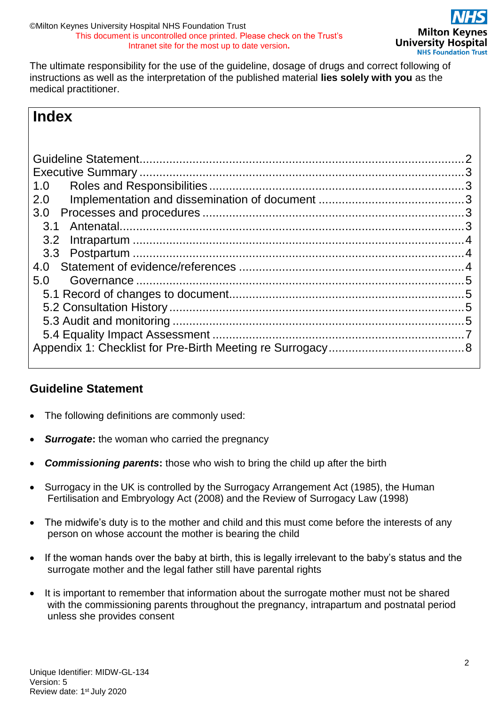The ultimate responsibility for the use of the guideline, dosage of drugs and correct following of instructions as well as the interpretation of the published material **lies solely with you** as the medical practitioner.

## **Index**

| 1.0 |  |
|-----|--|
| 2.0 |  |
| 3.0 |  |
| 3.1 |  |
| 3.2 |  |
|     |  |
| 4.0 |  |
| 5.0 |  |
|     |  |
|     |  |
|     |  |
|     |  |
|     |  |
|     |  |

## <span id="page-1-0"></span>**Guideline Statement**

- The following definitions are commonly used:
- **Surrogate:** the woman who carried the pregnancy
- *Commissioning parents***:** those who wish to bring the child up after the birth
- Surrogacy in the UK is controlled by the Surrogacy Arrangement Act (1985), the Human Fertilisation and Embryology Act (2008) and the Review of Surrogacy Law (1998)
- The midwife's duty is to the mother and child and this must come before the interests of any person on whose account the mother is bearing the child
- If the woman hands over the baby at birth, this is legally irrelevant to the baby's status and the surrogate mother and the legal father still have parental rights
- It is important to remember that information about the surrogate mother must not be shared with the commissioning parents throughout the pregnancy, intrapartum and postnatal period unless she provides consent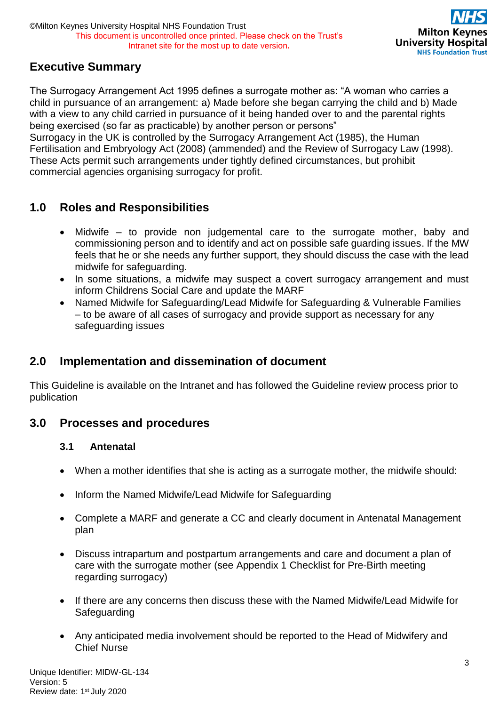## <span id="page-2-0"></span>**Executive Summary**

The Surrogacy Arrangement Act 1995 defines a surrogate mother as: "A woman who carries a child in pursuance of an arrangement: a) Made before she began carrying the child and b) Made with a view to any child carried in pursuance of it being handed over to and the parental rights being exercised (so far as practicable) by another person or persons"

Surrogacy in the UK is controlled by the Surrogacy Arrangement Act (1985), the Human Fertilisation and Embryology Act (2008) (ammended) and the Review of Surrogacy Law (1998). These Acts permit such arrangements under tightly defined circumstances, but prohibit commercial agencies organising surrogacy for profit.

## <span id="page-2-1"></span>**1.0 Roles and Responsibilities**

- Midwife to provide non judgemental care to the surrogate mother, baby and commissioning person and to identify and act on possible safe guarding issues. If the MW feels that he or she needs any further support, they should discuss the case with the lead midwife for safeguarding.
- In some situations, a midwife may suspect a covert surrogacy arrangement and must inform Childrens Social Care and update the MARF
- Named Midwife for Safeguarding/Lead Midwife for Safeguarding & Vulnerable Families – to be aware of all cases of surrogacy and provide support as necessary for any safeguarding issues

## <span id="page-2-2"></span>**2.0 Implementation and dissemination of document**

This Guideline is available on the Intranet and has followed the Guideline review process prior to publication

## <span id="page-2-4"></span><span id="page-2-3"></span>**3.0 Processes and procedures**

#### **3.1 Antenatal**

- When a mother identifies that she is acting as a surrogate mother, the midwife should:
- Inform the Named Midwife/Lead Midwife for Safeguarding
- Complete a MARF and generate a CC and clearly document in Antenatal Management plan
- Discuss intrapartum and postpartum arrangements and care and document a plan of care with the surrogate mother (see Appendix 1 Checklist for Pre-Birth meeting regarding surrogacy)
- If there are any concerns then discuss these with the Named Midwife/Lead Midwife for **Safeguarding**
- Any anticipated media involvement should be reported to the Head of Midwifery and Chief Nurse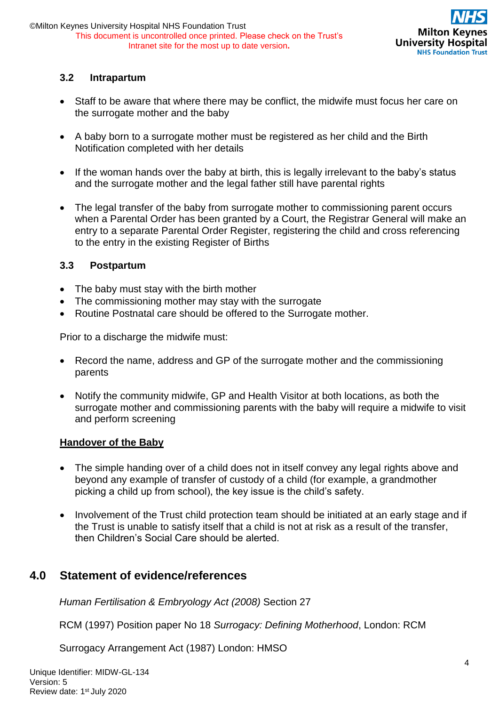

#### <span id="page-3-0"></span>**3.2 Intrapartum**

- Staff to be aware that where there may be conflict, the midwife must focus her care on the surrogate mother and the baby
- A baby born to a surrogate mother must be registered as her child and the Birth Notification completed with her details
- If the woman hands over the baby at birth, this is legally irrelevant to the baby's status and the surrogate mother and the legal father still have parental rights
- The legal transfer of the baby from surrogate mother to commissioning parent occurs when a Parental Order has been granted by a Court, the Registrar General will make an entry to a separate Parental Order Register, registering the child and cross referencing to the entry in the existing Register of Births

#### <span id="page-3-1"></span>**3.3 Postpartum**

- The baby must stay with the birth mother
- The commissioning mother may stay with the surrogate
- Routine Postnatal care should be offered to the Surrogate mother.

Prior to a discharge the midwife must:

- Record the name, address and GP of the surrogate mother and the commissioning parents
- Notify the community midwife, GP and Health Visitor at both locations, as both the surrogate mother and commissioning parents with the baby will require a midwife to visit and perform screening

#### **Handover of the Baby**

- The simple handing over of a child does not in itself convey any legal rights above and beyond any example of transfer of custody of a child (for example, a grandmother picking a child up from school), the key issue is the child's safety.
- Involvement of the Trust child protection team should be initiated at an early stage and if the Trust is unable to satisfy itself that a child is not at risk as a result of the transfer, then Children's Social Care should be alerted.

## <span id="page-3-2"></span>**4.0 Statement of evidence/references**

*Human Fertilisation & Embryology Act (2008)* Section 27

RCM (1997) Position paper No 18 *Surrogacy: Defining Motherhood*, London: RCM

Surrogacy Arrangement Act (1987) London: HMSO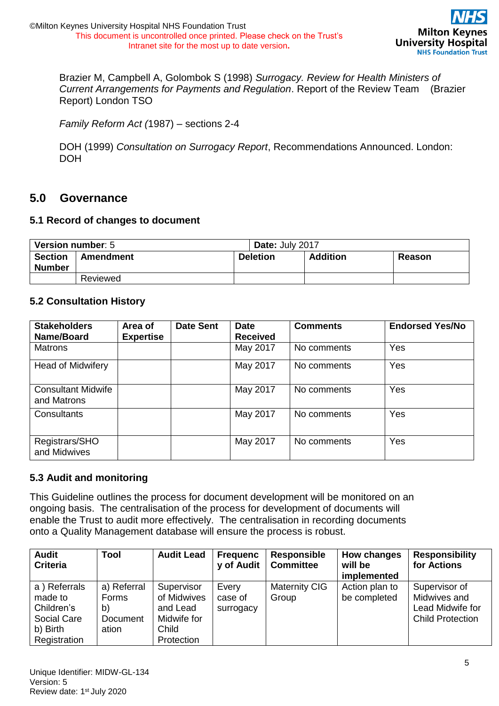

Brazier M, Campbell A, Golombok S (1998) *Surrogacy. Review for Health Ministers of Current Arrangements for Payments and Regulation*. Report of the Review Team (Brazier Report) London TSO

*Family Reform Act (*1987) – sections 2-4

DOH (1999) *Consultation on Surrogacy Report*, Recommendations Announced. London: DOH

#### <span id="page-4-0"></span>**5.0 Governance**

#### <span id="page-4-1"></span>**5.1 Record of changes to document**

| Version number: 5               |                              |  | Date: July 2017 |               |  |  |
|---------------------------------|------------------------------|--|-----------------|---------------|--|--|
| <b>Section</b><br><b>Number</b> | <b>Deletion</b><br>Amendment |  | <b>Addition</b> | <b>Reason</b> |  |  |
|                                 | Reviewed                     |  |                 |               |  |  |

#### <span id="page-4-2"></span>**5.2 Consultation History**

| <b>Stakeholders</b><br>Name/Board        | Area of<br><b>Expertise</b> | <b>Date Sent</b> | <b>Date</b><br><b>Received</b> | <b>Comments</b> | <b>Endorsed Yes/No</b> |
|------------------------------------------|-----------------------------|------------------|--------------------------------|-----------------|------------------------|
| <b>Matrons</b>                           |                             |                  | May 2017                       | No comments     | Yes                    |
| <b>Head of Midwifery</b>                 |                             |                  | May 2017                       | No comments     | Yes                    |
| <b>Consultant Midwife</b><br>and Matrons |                             |                  | May 2017                       | No comments     | Yes                    |
| Consultants                              |                             |                  | May 2017                       | No comments     | Yes                    |
| Registrars/SHO<br>and Midwives           |                             |                  | May 2017                       | No comments     | Yes                    |

#### <span id="page-4-3"></span>**5.3 Audit and monitoring**

This Guideline outlines the process for document development will be monitored on an ongoing basis. The centralisation of the process for development of documents will enable the Trust to audit more effectively. The centralisation in recording documents onto a Quality Management database will ensure the process is robust.

| <b>Audit</b><br><b>Criteria</b>                                                  | Tool                                            | <b>Audit Lead</b>                                                           | <b>Frequenc</b><br>y of Audit | Responsible<br><b>Committee</b> | How changes<br>will be<br>implemented | <b>Responsibility</b><br>for Actions                                         |
|----------------------------------------------------------------------------------|-------------------------------------------------|-----------------------------------------------------------------------------|-------------------------------|---------------------------------|---------------------------------------|------------------------------------------------------------------------------|
| a) Referrals<br>made to<br>Children's<br>Social Care<br>b) Birth<br>Registration | a) Referral<br>Forms<br>b)<br>Document<br>ation | Supervisor<br>of Midwives<br>and Lead<br>Midwife for<br>Child<br>Protection | Every<br>case of<br>surrogacy | <b>Maternity CIG</b><br>Group   | Action plan to<br>be completed        | Supervisor of<br>Midwives and<br>Lead Midwife for<br><b>Child Protection</b> |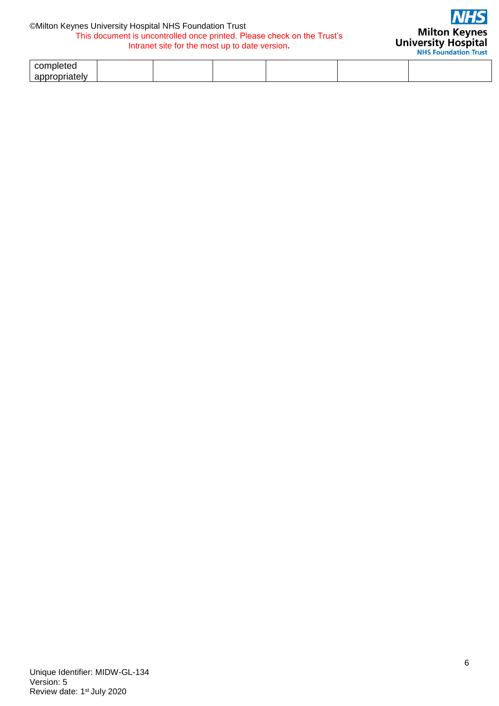#### ©Milton Keynes University Hospital NHS Foundation Trust This document is uncontrolled once printed. Please check on the Trust's Intranet site for the most up to date version**.**



| - - -<br>comr<br>. |  |  |  |
|--------------------|--|--|--|
| -- -<br>ar         |  |  |  |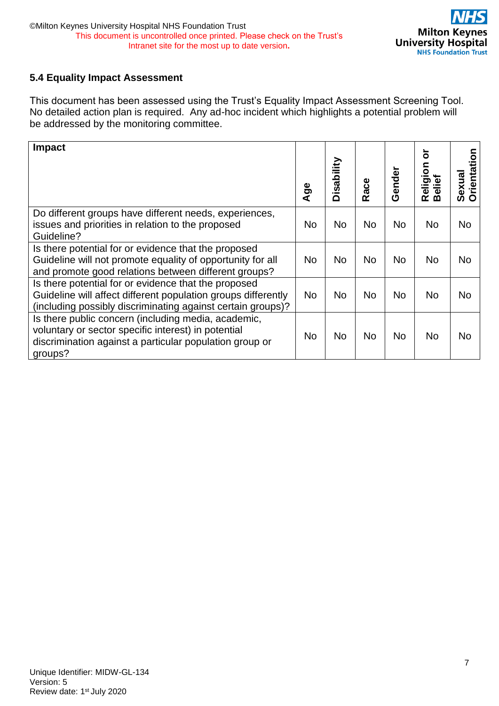#### <span id="page-6-0"></span>**5.4 Equality Impact Assessment**

This document has been assessed using the Trust's Equality Impact Assessment Screening Tool. No detailed action plan is required. Any ad-hoc incident which highlights a potential problem will be addressed by the monitoring committee.

| Impact                                                                                                                                                                                   | Age       | isability<br>Δ | Race      | Gender    | ้อิ<br>eligion<br>œ<br>മ | rientation<br>Sexual<br>O |
|------------------------------------------------------------------------------------------------------------------------------------------------------------------------------------------|-----------|----------------|-----------|-----------|--------------------------|---------------------------|
| Do different groups have different needs, experiences,<br>issues and priorities in relation to the proposed                                                                              | <b>No</b> | <b>No</b>      | <b>No</b> | <b>No</b> | <b>No</b>                | <b>No</b>                 |
| Guideline?<br>Is there potential for or evidence that the proposed<br>Guideline will not promote equality of opportunity for all<br>and promote good relations between different groups? | <b>No</b> | <b>No</b>      | <b>No</b> | No.       | <b>No</b>                | <b>No</b>                 |
| Is there potential for or evidence that the proposed<br>Guideline will affect different population groups differently<br>(including possibly discriminating against certain groups)?     | <b>No</b> | <b>No</b>      | <b>No</b> | <b>No</b> | <b>No</b>                | <b>No</b>                 |
| Is there public concern (including media, academic,<br>voluntary or sector specific interest) in potential<br>discrimination against a particular population group or<br>groups?         | No        | No             | No        | <b>No</b> | <b>No</b>                | <b>No</b>                 |